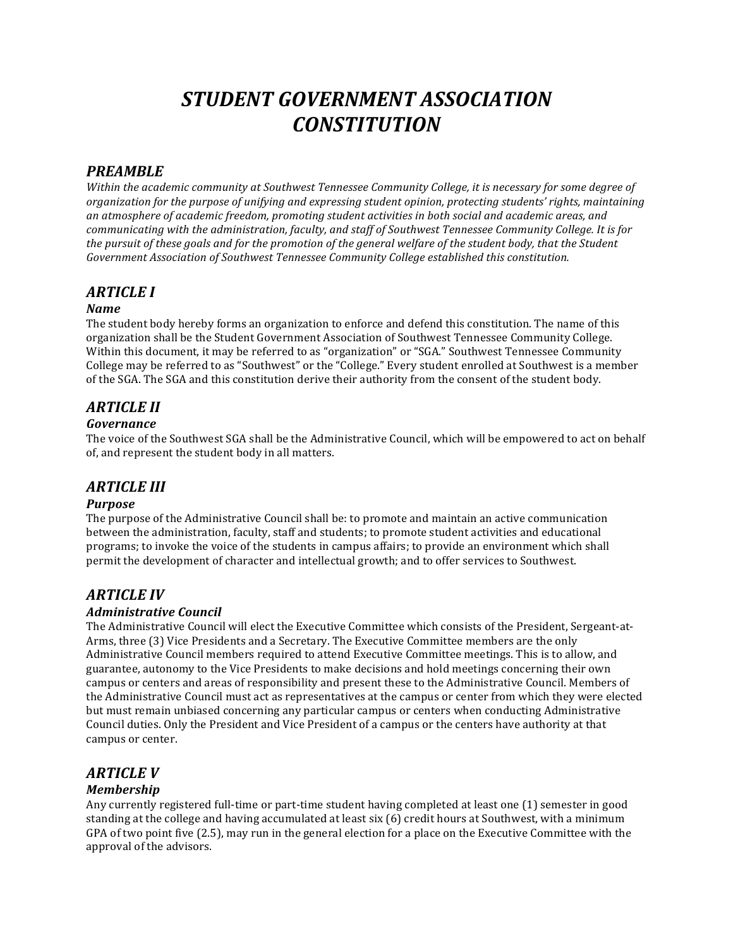# *STUDENT'GOVERNMENT'ASSOCIATION CONSTITUTION*

# *PREAMBLE*

Within the academic community at Southwest Tennessee Community College, it is necessary for some degree of *organization&for&the&purpose&of&unifying&and&expressing&student&opinion,&protecting&students'&rights,&maintaining& an&atmosphere&of&academic&freedom,&promoting&student&activities&in&both&social&and&academic&areas,&and& communicating with the administration, faculty, and staff of Southwest Tennessee Community College. It is for the pursuit of these goals and for the promotion of the general welfare of the student body, that the Student* Government Association of Southwest Tennessee Community College established this constitution.

### *ARTICLE'I*

### *Name*

The student body hereby forms an organization to enforce and defend this constitution. The name of this organization shall be the Student Government Association of Southwest Tennessee Community College. Within this document, it may be referred to as "organization" or "SGA." Southwest Tennessee Community College may be referred to as "Southwest" or the "College." Every student enrolled at Southwest is a member of the SGA. The SGA and this constitution derive their authority from the consent of the student body.

# *ARTICLE'II*

### *Governance*

The voice of the Southwest SGA shall be the Administrative Council, which will be empowered to act on behalf of, and represent the student body in all matters.

### *ARTICLE'III*

### *Purpose*

The purpose of the Administrative Council shall be: to promote and maintain an active communication between the administration, faculty, staff and students; to promote student activities and educational programs; to invoke the voice of the students in campus affairs; to provide an environment which shall permit the development of character and intellectual growth; and to offer services to Southwest.

# *ARTICLE'IV*

### *Administrative'Council*

The Administrative Council will elect the Executive Committee which consists of the President, Sergeant-at-Arms, three (3) Vice Presidents and a Secretary. The Executive Committee members are the only Administrative Council members required to attend Executive Committee meetings. This is to allow, and guarantee, autonomy to the Vice Presidents to make decisions and hold meetings concerning their own campus or centers and areas of responsibility and present these to the Administrative Council. Members of the Administrative Council must act as representatives at the campus or center from which they were elected but must remain unbiased concerning any particular campus or centers when conducting Administrative Council duties. Only the President and Vice President of a campus or the centers have authority at that campus or center.

# *ARTICLE'V*

### *Membership*

Any currently registered full-time or part-time student having completed at least one (1) semester in good standing at the college and having accumulated at least six (6) credit hours at Southwest, with a minimum GPA of two point five  $(2.5)$ , may run in the general election for a place on the Executive Committee with the approval of the advisors.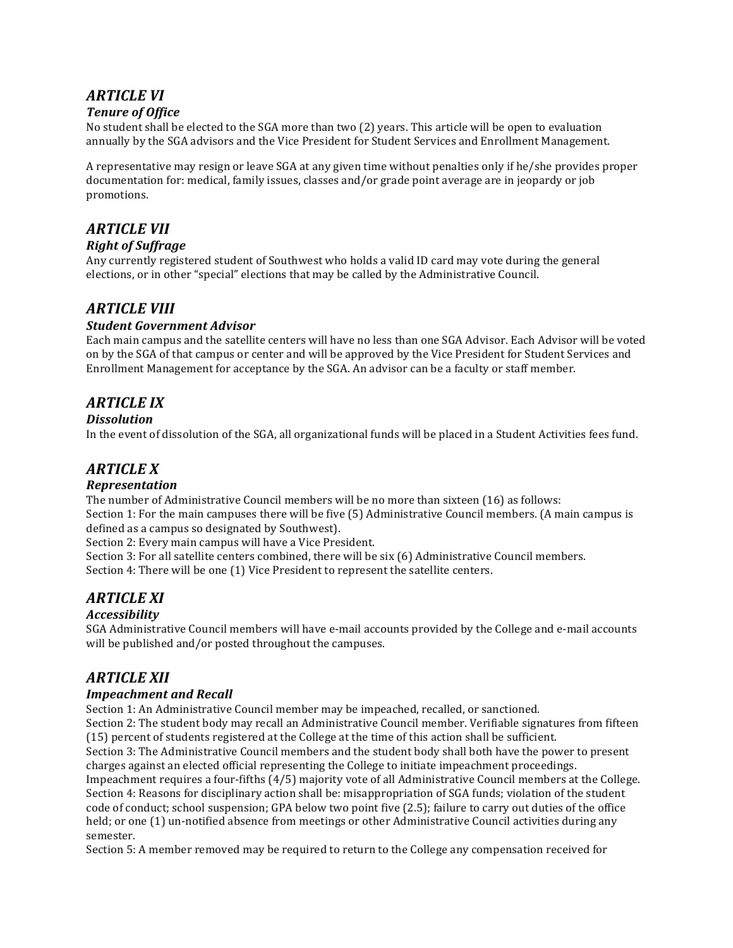# *ARTICLE'VI*

### **Tenure of Office**

No student shall be elected to the SGA more than two (2) years. This article will be open to evaluation annually by the SGA advisors and the Vice President for Student Services and Enrollment Management.

A representative may resign or leave SGA at any given time without penalties only if he/she provides proper documentation for: medical, family issues, classes and/or grade point average are in jeopardy or job promotions.

# *ARTICLE'VII*

### *Right'of'Suffrage*

Any currently registered student of Southwest who holds a valid ID card may vote during the general elections, or in other "special" elections that may be called by the Administrative Council.

### *ARTICLE'VIII*

### *Student'Government'Advisor*

Each main campus and the satellite centers will have no less than one SGA Advisor. Each Advisor will be voted on by the SGA of that campus or center and will be approved by the Vice President for Student Services and Enrollment Management for acceptance by the SGA. An advisor can be a faculty or staff member.

### *ARTICLE'IX*

### *Dissolution*

In the event of dissolution of the SGA, all organizational funds will be placed in a Student Activities fees fund.

# *ARTICLE'X*

### *Representation*

The number of Administrative Council members will be no more than sixteen  $(16)$  as follows: Section 1: For the main campuses there will be five  $(5)$  Administrative Council members. (A main campus is defined as a campus so designated by Southwest).

Section 2: Every main campus will have a Vice President.

Section  $3:$  For all satellite centers combined, there will be six (6) Administrative Council members. Section 4: There will be one (1) Vice President to represent the satellite centers.

# *ARTICLE'XI*

### *Accessibility*

SGA Administrative Council members will have e-mail accounts provided by the College and e-mail accounts will be published and/or posted throughout the campuses.

### *ARTICLE'XII*

### *Impeachment and Recall*

Section 1: An Administrative Council member may be impeached, recalled, or sanctioned.

Section 2: The student body may recall an Administrative Council member. Verifiable signatures from fifteen (15) percent of students registered at the College at the time of this action shall be sufficient.

Section 3: The Administrative Council members and the student body shall both have the power to present charges against an elected official representing the College to initiate impeachment proceedings.

Impeachment requires a four-fifths  $(4/5)$  majority vote of all Administrative Council members at the College. Section 4: Reasons for disciplinary action shall be: misappropriation of SGA funds; violation of the student code of conduct; school suspension; GPA below two point five (2.5); failure to carry out duties of the office held; or one (1) un-notified absence from meetings or other Administrative Council activities during any semester.

Section 5: A member removed may be required to return to the College any compensation received for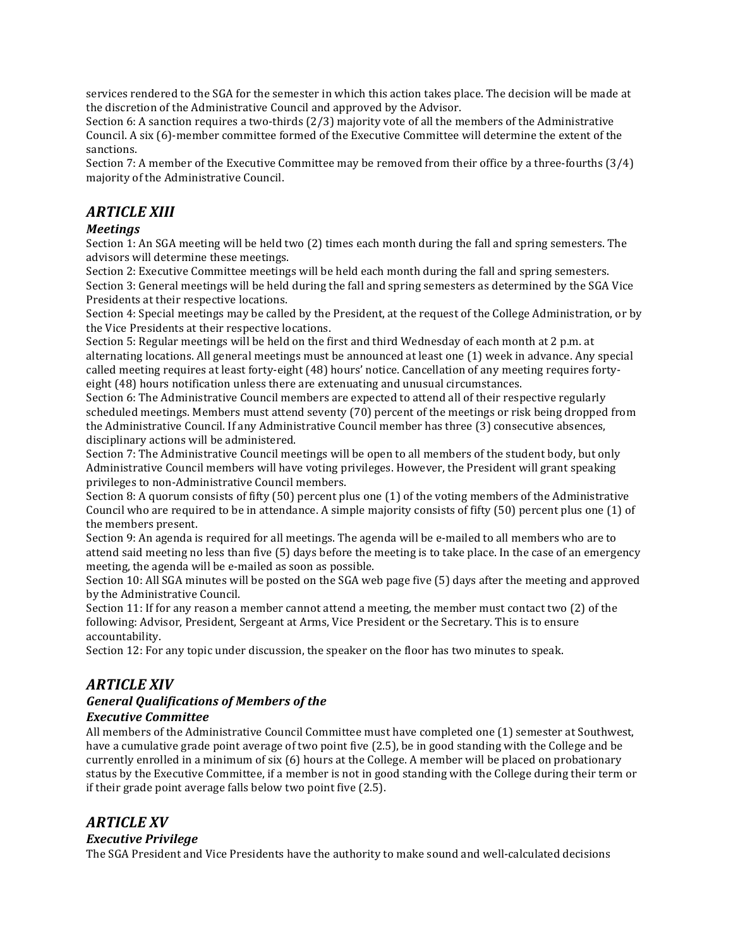services rendered to the SGA for the semester in which this action takes place. The decision will be made at the discretion of the Administrative Council and approved by the Advisor.

Section 6: A sanction requires a two-thirds  $(2/3)$  majority vote of all the members of the Administrative Council. A six (6)-member committee formed of the Executive Committee will determine the extent of the sanctions.

Section 7: A member of the Executive Committee may be removed from their office by a three-fourths  $(3/4)$ majority of the Administrative Council.

# *ARTICLE'XIII*

### *Meetings*

Section 1: An SGA meeting will be held two (2) times each month during the fall and spring semesters. The advisors will determine these meetings.

Section 2: Executive Committee meetings will be held each month during the fall and spring semesters. Section 3: General meetings will be held during the fall and spring semesters as determined by the SGA Vice Presidents at their respective locations.

Section 4: Special meetings may be called by the President, at the request of the College Administration, or by the Vice Presidents at their respective locations.

Section 5: Regular meetings will be held on the first and third Wednesday of each month at  $2$  p.m. at alternating locations. All general meetings must be announced at least one  $(1)$  week in advance. Any special called meeting requires at least forty-eight (48) hours' notice. Cancellation of any meeting requires fortyeight (48) hours notification unless there are extenuating and unusual circumstances.

Section 6: The Administrative Council members are expected to attend all of their respective regularly scheduled meetings. Members must attend seventy (70) percent of the meetings or risk being dropped from the Administrative Council. If any Administrative Council member has three (3) consecutive absences, disciplinary actions will be administered.

Section 7: The Administrative Council meetings will be open to all members of the student body, but only Administrative Council members will have voting privileges. However, the President will grant speaking privileges to non-Administrative Council members.

Section  $8:$  A quorum consists of fifty (50) percent plus one (1) of the voting members of the Administrative Council who are required to be in attendance. A simple majority consists of fifty (50) percent plus one (1) of the members present.

Section 9: An agenda is required for all meetings. The agenda will be e-mailed to all members who are to attend said meeting no less than five (5) days before the meeting is to take place. In the case of an emergency meeting, the agenda will be e-mailed as soon as possible.

Section 10: All SGA minutes will be posted on the SGA web page five (5) days after the meeting and approved by the Administrative Council.

Section 11: If for any reason a member cannot attend a meeting, the member must contact two  $(2)$  of the following: Advisor, President, Sergeant at Arms, Vice President or the Secretary. This is to ensure accountability.

Section 12: For any topic under discussion, the speaker on the floor has two minutes to speak.

### *ARTICLE'XIV*

# *General'Qualifications'of'Members'of'the*

### *Executive'Committee*

All members of the Administrative Council Committee must have completed one (1) semester at Southwest, have a cumulative grade point average of two point five (2.5), be in good standing with the College and be currently enrolled in a minimum of six  $(6)$  hours at the College. A member will be placed on probationary status by the Executive Committee, if a member is not in good standing with the College during their term or if their grade point average falls below two point five  $(2.5)$ .

### *ARTICLE'XV*

### *Executive'Privilege*

The SGA President and Vice Presidents have the authority to make sound and well-calculated decisions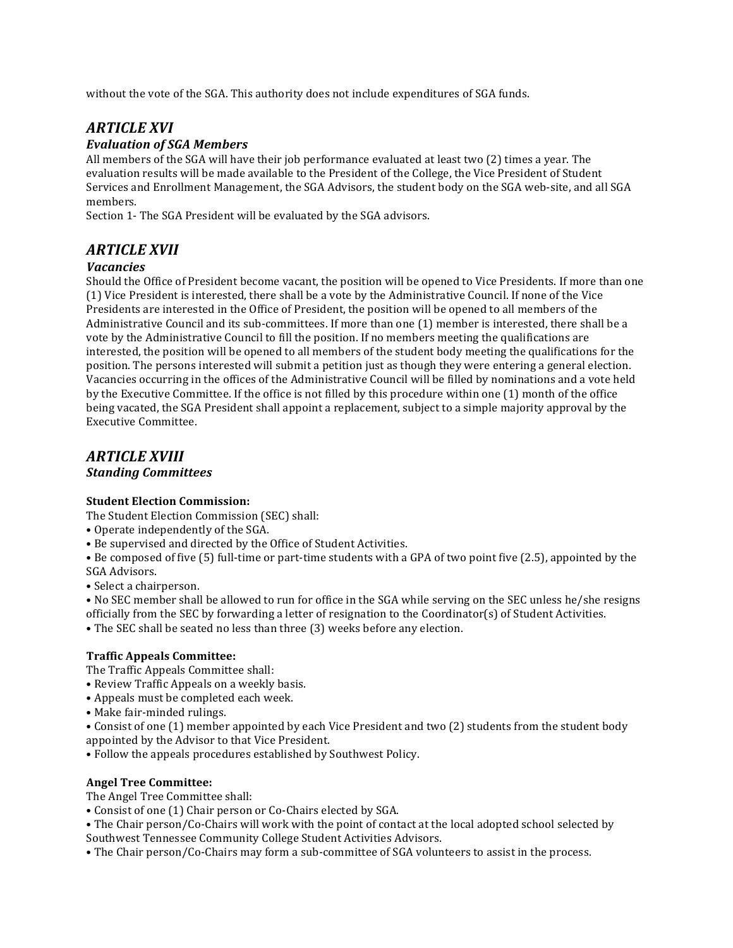without the vote of the SGA. This authority does not include expenditures of SGA funds.

# *ARTICLE'XVI*

### *Evaluation'of'SGA'Members*

All members of the SGA will have their job performance evaluated at least two (2) times a year. The evaluation results will be made available to the President of the College, the Vice President of Student Services and Enrollment Management, the SGA Advisors, the student body on the SGA web-site, and all SGA members.

Section 1- The SGA President will be evaluated by the SGA advisors.

# *ARTICLE'XVII*

### *Vacancies*

Should the Office of President become vacant, the position will be opened to Vice Presidents. If more than one (1) Vice President is interested, there shall be a vote by the Administrative Council. If none of the Vice Presidents are interested in the Office of President, the position will be opened to all members of the Administrative Council and its sub-committees. If more than one (1) member is interested, there shall be a vote by the Administrative Council to fill the position. If no members meeting the qualifications are interested, the position will be opened to all members of the student body meeting the qualifications for the position. The persons interested will submit a petition just as though they were entering a general election. Vacancies occurring in the offices of the Administrative Council will be filled by nominations and a vote held by the Executive Committee. If the office is not filled by this procedure within one (1) month of the office being vacated, the SGA President shall appoint a replacement, subject to a simple majority approval by the Executive Committee.

# *ARTICLE'XVIII*

### *Standing'Committees*

### **Student Election Commission:**

The Student Election Commission (SEC) shall:

- Operate independently of the SGA.
- Be supervised and directed by the Office of Student Activities.

• Be composed of five (5) full-time or part-time students with a GPA of two point five (2.5), appointed by the SGA Advisors.

• Select a chairperson.

• No SEC member shall be allowed to run for office in the SGA while serving on the SEC unless he/she resigns officially from the SEC by forwarding a letter of resignation to the Coordinator(s) of Student Activities.

• The SEC shall be seated no less than three (3) weeks before any election.

#### **Traffic Appeals Committee:**

The Traffic Appeals Committee shall:

- Review Traffic Appeals on a weekly basis.
- Appeals must be completed each week.
- Make fair-minded rulings.
- Consist of one (1) member appointed by each Vice President and two (2) students from the student body appointed by the Advisor to that Vice President.
- Follow the appeals procedures established by Southwest Policy.

#### **Angel Tree Committee:**

The Angel Tree Committee shall:

- Consist of one (1) Chair person or Co-Chairs elected by SGA.
- The Chair person/Co-Chairs will work with the point of contact at the local adopted school selected by Southwest Tennessee Community College Student Activities Advisors.
- The Chair person/Co-Chairs may form a sub-committee of SGA volunteers to assist in the process.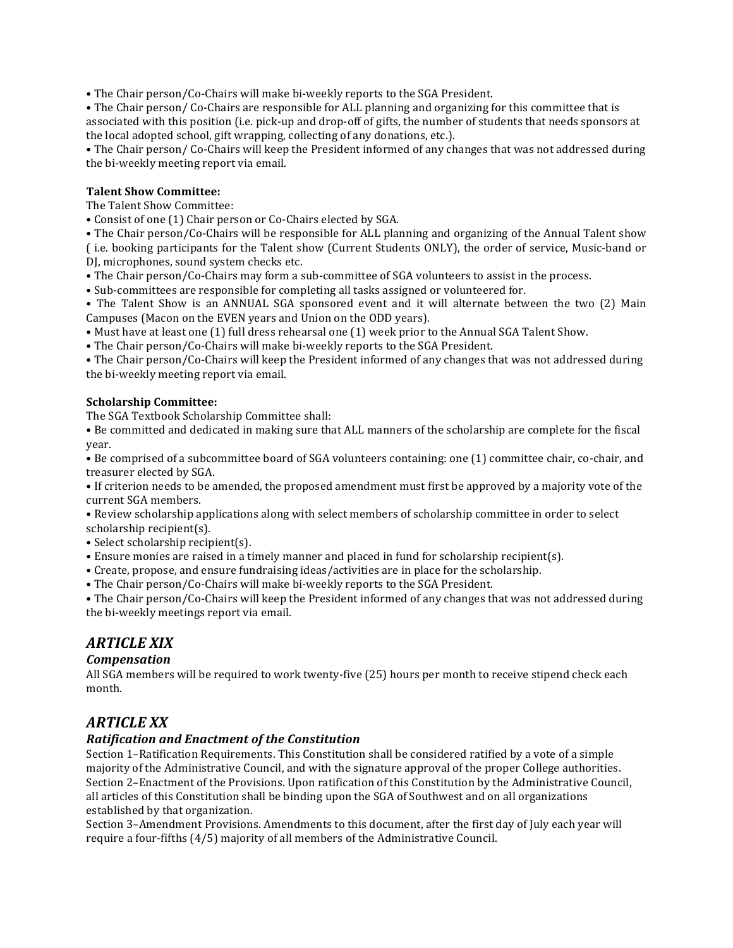• The Chair person/Co-Chairs will make bi-weekly reports to the SGA President.

• The Chair person/ Co-Chairs are responsible for ALL planning and organizing for this committee that is associated with this position (i.e. pick-up and drop-off of gifts, the number of students that needs sponsors at the local adopted school, gift wrapping, collecting of any donations, etc.).

• The Chair person/ Co-Chairs will keep the President informed of any changes that was not addressed during the bi-weekly meeting report via email.

#### **Talent Show Committee:**

The Talent Show Committee:

• Consist of one (1) Chair person or Co-Chairs elected by SGA.

• The Chair person/Co-Chairs will be responsible for ALL planning and organizing of the Annual Talent show (i.e. booking participants for the Talent show (Current Students ONLY), the order of service, Music-band or DJ, microphones, sound system checks etc.

• The Chair person/Co-Chairs may form a sub-committee of SGA volunteers to assist in the process.

• Sub-committees are responsible for completing all tasks assigned or volunteered for.

• The Talent Show is an ANNUAL SGA sponsored event and it will alternate between the two (2) Main Campuses (Macon on the EVEN years and Union on the ODD years).

• Must have at least one (1) full dress rehearsal one (1) week prior to the Annual SGA Talent Show.

• The Chair person/Co-Chairs will make bi-weekly reports to the SGA President.

• The Chair person/Co-Chairs will keep the President informed of any changes that was not addressed during the bi-weekly meeting report via email.

#### **Scholarship#Committee:**

The SGA Textbook Scholarship Committee shall:

• Be committed and dedicated in making sure that ALL manners of the scholarship are complete for the fiscal year.

• Be comprised of a subcommittee board of SGA volunteers containing: one (1) committee chair, co-chair, and treasurer elected by SGA.

• If criterion needs to be amended, the proposed amendment must first be approved by a majority vote of the current SGA members.

• Review scholarship applications along with select members of scholarship committee in order to select  $scholarship recipient(s)$ .

- Select scholarship recipient(s).
- Ensure monies are raised in a timely manner and placed in fund for scholarship recipient(s).
- Create, propose, and ensure fundraising ideas/activities are in place for the scholarship.

• The Chair person/Co-Chairs will make bi-weekly reports to the SGA President.

• The Chair person/Co-Chairs will keep the President informed of any changes that was not addressed during the bi-weekly meetings report via email.

### *ARTICLE'XIX*

### *Compensation*

All SGA members will be required to work twenty-five (25) hours per month to receive stipend check each month.

### *ARTICLE'XX*

### *Ratification'and'Enactment'of'the'Constitution*

Section 1–Ratification Requirements. This Constitution shall be considered ratified by a vote of a simple majority of the Administrative Council, and with the signature approval of the proper College authorities. Section 2–Enactment of the Provisions. Upon ratification of this Constitution by the Administrative Council, all articles of this Constitution shall be binding upon the SGA of Southwest and on all organizations established by that organization.

Section 3–Amendment Provisions. Amendments to this document, after the first day of July each year will require a four-fifths (4/5) majority of all members of the Administrative Council.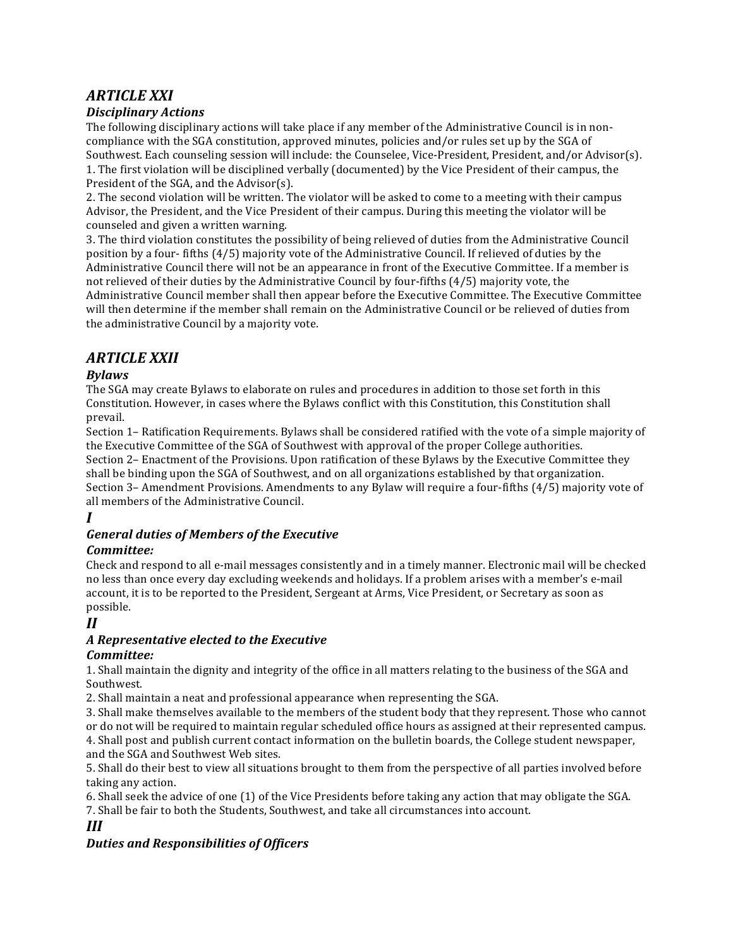# *ARTICLE'XXI*

### *Disciplinary'Actions*

The following disciplinary actions will take place if any member of the Administrative Council is in noncompliance with the SGA constitution, approved minutes, policies and/or rules set up by the SGA of Southwest. Each counseling session will include: the Counselee, Vice-President, President, and/or Advisor(s). 1. The first violation will be disciplined verbally (documented) by the Vice President of their campus, the President of the SGA, and the Advisor(s).

2. The second violation will be written. The violator will be asked to come to a meeting with their campus Advisor, the President, and the Vice President of their campus. During this meeting the violator will be counseled and given a written warning.

3. The third violation constitutes the possibility of being relieved of duties from the Administrative Council position by a four-fifths (4/5) majority vote of the Administrative Council. If relieved of duties by the Administrative Council there will not be an appearance in front of the Executive Committee. If a member is not relieved of their duties by the Administrative Council by four-fifths  $(4/5)$  majority vote, the Administrative Council member shall then appear before the Executive Committee. The Executive Committee will then determine if the member shall remain on the Administrative Council or be relieved of duties from the administrative Council by a majority vote.

# *ARTICLE'XXII*

### *Bylaws*

The SGA may create Bylaws to elaborate on rules and procedures in addition to those set forth in this Constitution. However, in cases where the Bylaws conflict with this Constitution, this Constitution shall prevail.

Section 1– Ratification Requirements. Bylaws shall be considered ratified with the vote of a simple majority of the Executive Committee of the SGA of Southwest with approval of the proper College authorities. Section 2– Enactment of the Provisions. Upon ratification of these Bylaws by the Executive Committee they shall be binding upon the SGA of Southwest, and on all organizations established by that organization. Section  $3$ – Amendment Provisions. Amendments to any Bylaw will require a four-fifths (4/5) majority vote of all members of the Administrative Council.

*I*

### *General'duties'of'Members'of'the'Executive*

### *Committee:*

Check and respond to all e-mail messages consistently and in a timely manner. Electronic mail will be checked no less than once every day excluding weekends and holidays. If a problem arises with a member's e-mail account, it is to be reported to the President, Sergeant at Arms, Vice President, or Secretary as soon as possible.

### *II*

### *A'Representative'elected'to'the'Executive*

### *Committee:*

1. Shall maintain the dignity and integrity of the office in all matters relating to the business of the SGA and Southwest.

2. Shall maintain a neat and professional appearance when representing the SGA.

3. Shall make themselves available to the members of the student body that they represent. Those who cannot or do not will be required to maintain regular scheduled office hours as assigned at their represented campus. 4. Shall post and publish current contact information on the bulletin boards, the College student newspaper,

and the SGA and Southwest Web sites.

5. Shall do their best to view all situations brought to them from the perspective of all parties involved before taking any action.

6. Shall seek the advice of one (1) of the Vice Presidents before taking any action that may obligate the SGA. 7. Shall be fair to both the Students, Southwest, and take all circumstances into account.

*III*

# *Duties'and'Responsibilities'of'Officers*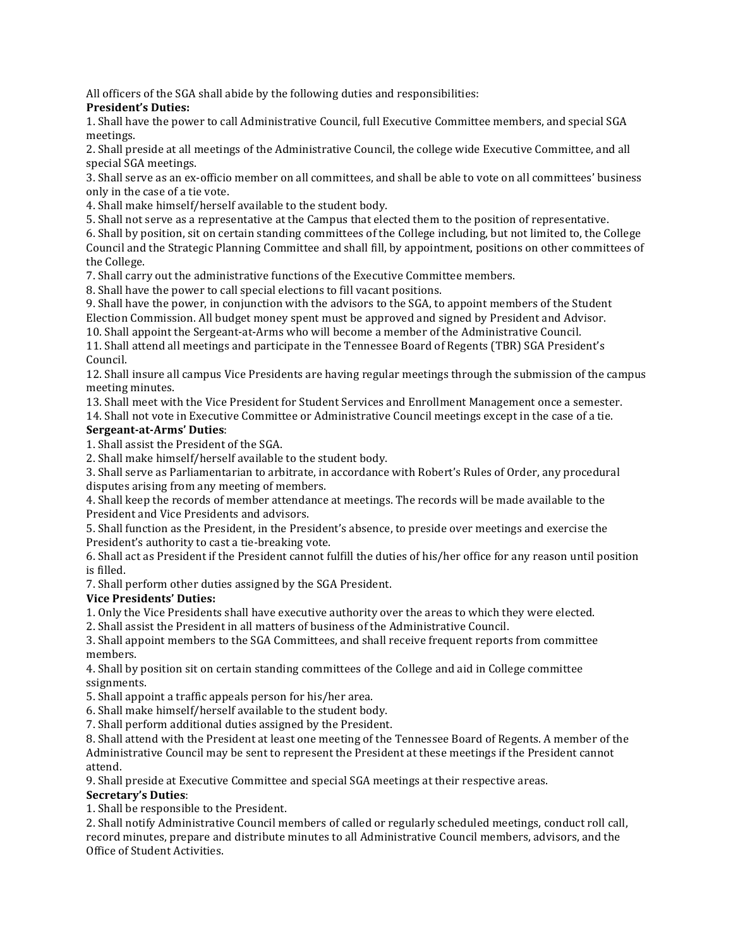All officers of the SGA shall abide by the following duties and responsibilities:

### **President's Duties:**

1. Shall have the power to call Administrative Council, full Executive Committee members, and special SGA meetings.

2. Shall preside at all meetings of the Administrative Council, the college wide Executive Committee, and all special SGA meetings.

3. Shall serve as an ex-officio member on all committees, and shall be able to vote on all committees' business only in the case of a tie vote.

4. Shall make himself/herself available to the student body.

5. Shall not serve as a representative at the Campus that elected them to the position of representative.

6. Shall by position, sit on certain standing committees of the College including, but not limited to, the College Council and the Strategic Planning Committee and shall fill, by appointment, positions on other committees of the College.

7. Shall carry out the administrative functions of the Executive Committee members.

8. Shall have the power to call special elections to fill vacant positions.

9. Shall have the power, in conjunction with the advisors to the SGA, to appoint members of the Student Election Commission. All budget money spent must be approved and signed by President and Advisor.

10. Shall appoint the Sergeant-at-Arms who will become a member of the Administrative Council.

11. Shall attend all meetings and participate in the Tennessee Board of Regents (TBR) SGA President's Council.

12. Shall insure all campus Vice Presidents are having regular meetings through the submission of the campus meeting minutes.

13. Shall meet with the Vice President for Student Services and Enrollment Management once a semester.

14. Shall not vote in Executive Committee or Administrative Council meetings except in the case of a tie.

#### **Sergeant-at-Arms' Duties:**

1. Shall assist the President of the SGA.

2. Shall make himself/herself available to the student body.

3. Shall serve as Parliamentarian to arbitrate, in accordance with Robert's Rules of Order, any procedural disputes arising from any meeting of members.

4. Shall keep the records of member attendance at meetings. The records will be made available to the President and Vice Presidents and advisors.

5. Shall function as the President, in the President's absence, to preside over meetings and exercise the President's authority to cast a tie-breaking vote.

6. Shall act as President if the President cannot fulfill the duties of his/her office for any reason until position is filled.

7. Shall perform other duties assigned by the SGA President.

### **Vice Presidents' Duties:**

1. Only the Vice Presidents shall have executive authority over the areas to which they were elected.

2. Shall assist the President in all matters of business of the Administrative Council.

3. Shall appoint members to the SGA Committees, and shall receive frequent reports from committee members.

4. Shall by position sit on certain standing committees of the College and aid in College committee ssignments.

5. Shall appoint a traffic appeals person for his/her area.

6. Shall make himself/herself available to the student body.

7. Shall perform additional duties assigned by the President.

8. Shall attend with the President at least one meeting of the Tennessee Board of Regents. A member of the Administrative Council may be sent to represent the President at these meetings if the President cannot attend.

9. Shall preside at Executive Committee and special SGA meetings at their respective areas.

#### **Secretary's#Duties**:

1. Shall be responsible to the President.

2. Shall notify Administrative Council members of called or regularly scheduled meetings, conduct roll call, record minutes, prepare and distribute minutes to all Administrative Council members, advisors, and the Office of Student Activities.